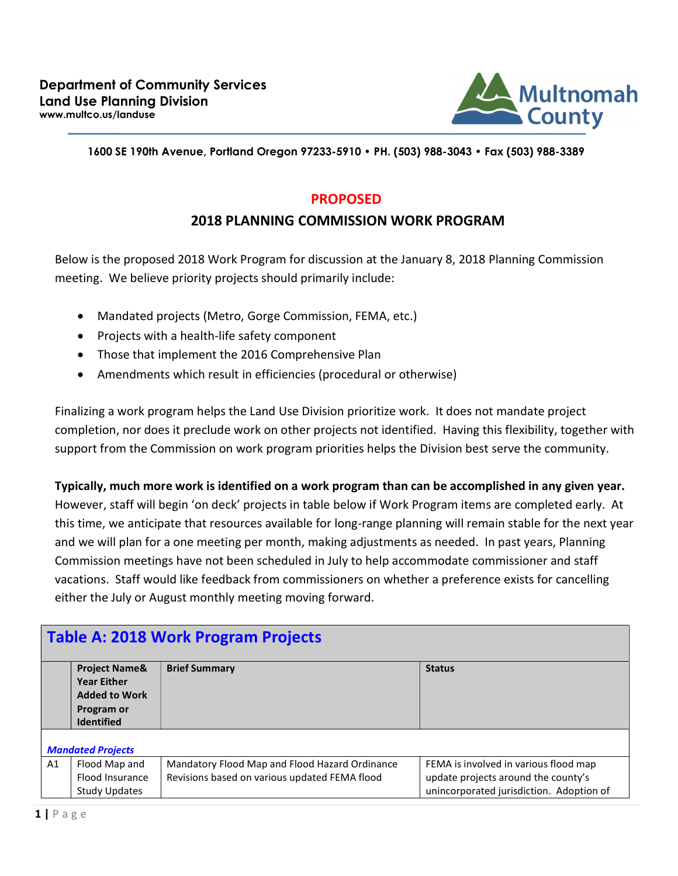

#### 1600 SE 190th Avenue, Portland Oregon 97233-5910 • PH. (503) 988-3043 • Fax (503) 988-3389

### PROPOSED

## 2018 PLANNING COMMISSION WORK PROGRAM

Below is the proposed 2018 Work Program for discussion at the January 8, 2018 Planning Commission meeting. We believe priority projects should primarily include:

- Mandated projects (Metro, Gorge Commission, FEMA, etc.)
- Projects with a health-life safety component
- Those that implement the 2016 Comprehensive Plan
- Amendments which result in efficiencies (procedural or otherwise)

Finalizing a work program helps the Land Use Division prioritize work. It does not mandate project completion, nor does it preclude work on other projects not identified. Having this flexibility, together with support from the Commission on work program priorities helps the Division best serve the community.

#### Typically, much more work is identified on a work program than can be accomplished in any given year.

However, staff will begin 'on deck' projects in table below if Work Program items are completed early. At this time, we anticipate that resources available for long-range planning will remain stable for the next year and we will plan for a one meeting per month, making adjustments as needed. In past years, Planning Commission meetings have not been scheduled in July to help accommodate commissioner and staff vacations. Staff would like feedback from commissioners on whether a preference exists for cancelling either the July or August monthly meeting moving forward.

## Table A: 2018 Work Program Projects

|    | <b>Project Name&amp;</b><br><b>Year Either</b><br><b>Added to Work</b><br>Program or<br><b>Identified</b> | <b>Brief Summary</b>                                                                            | <b>Status</b>                                                                |  |
|----|-----------------------------------------------------------------------------------------------------------|-------------------------------------------------------------------------------------------------|------------------------------------------------------------------------------|--|
|    | <b>Mandated Projects</b>                                                                                  |                                                                                                 |                                                                              |  |
| A1 | Flood Map and<br>Flood Insurance                                                                          | Mandatory Flood Map and Flood Hazard Ordinance<br>Revisions based on various updated FEMA flood | FEMA is involved in various flood map<br>update projects around the county's |  |
|    | <b>Study Updates</b>                                                                                      |                                                                                                 | unincorporated jurisdiction. Adoption of                                     |  |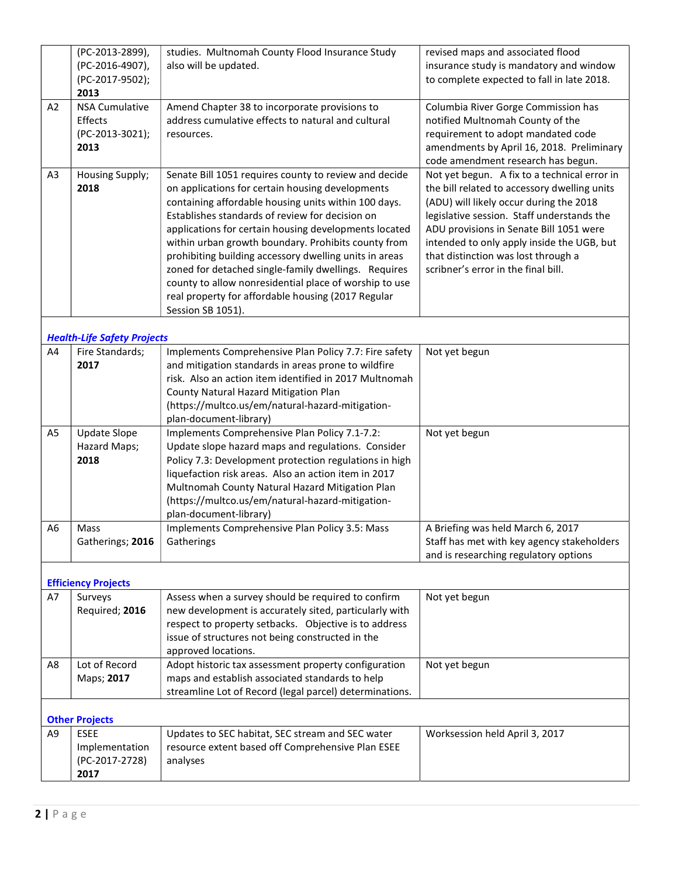|                | (PC-2013-2899),                    | studies. Multnomah County Flood Insurance Study         | revised maps and associated flood            |
|----------------|------------------------------------|---------------------------------------------------------|----------------------------------------------|
|                | (PC-2016-4907),                    | also will be updated.                                   | insurance study is mandatory and window      |
|                | (PC-2017-9502);                    |                                                         | to complete expected to fall in late 2018.   |
|                | 2013                               |                                                         |                                              |
| A2             | <b>NSA Cumulative</b>              | Amend Chapter 38 to incorporate provisions to           | Columbia River Gorge Commission has          |
|                | Effects                            | address cumulative effects to natural and cultural      | notified Multnomah County of the             |
|                | (PC-2013-3021);                    | resources.                                              | requirement to adopt mandated code           |
|                | 2013                               |                                                         | amendments by April 16, 2018. Preliminary    |
|                |                                    |                                                         | code amendment research has begun.           |
| A <sub>3</sub> | Housing Supply;                    | Senate Bill 1051 requires county to review and decide   | Not yet begun. A fix to a technical error in |
|                | 2018                               | on applications for certain housing developments        | the bill related to accessory dwelling units |
|                |                                    | containing affordable housing units within 100 days.    | (ADU) will likely occur during the 2018      |
|                |                                    | Establishes standards of review for decision on         | legislative session. Staff understands the   |
|                |                                    |                                                         |                                              |
|                |                                    | applications for certain housing developments located   | ADU provisions in Senate Bill 1051 were      |
|                |                                    | within urban growth boundary. Prohibits county from     | intended to only apply inside the UGB, but   |
|                |                                    | prohibiting building accessory dwelling units in areas  | that distinction was lost through a          |
|                |                                    | zoned for detached single-family dwellings. Requires    | scribner's error in the final bill.          |
|                |                                    | county to allow nonresidential place of worship to use  |                                              |
|                |                                    | real property for affordable housing (2017 Regular      |                                              |
|                |                                    | Session SB 1051).                                       |                                              |
|                |                                    |                                                         |                                              |
|                | <b>Health-Life Safety Projects</b> |                                                         |                                              |
| A4             | Fire Standards;                    | Implements Comprehensive Plan Policy 7.7: Fire safety   | Not yet begun                                |
|                | 2017                               | and mitigation standards in areas prone to wildfire     |                                              |
|                |                                    | risk. Also an action item identified in 2017 Multnomah  |                                              |
|                |                                    | County Natural Hazard Mitigation Plan                   |                                              |
|                |                                    | (https://multco.us/em/natural-hazard-mitigation-        |                                              |
|                |                                    | plan-document-library)                                  |                                              |
| A <sub>5</sub> | <b>Update Slope</b>                | Implements Comprehensive Plan Policy 7.1-7.2:           | Not yet begun                                |
|                | Hazard Maps;                       | Update slope hazard maps and regulations. Consider      |                                              |
|                | 2018                               | Policy 7.3: Development protection regulations in high  |                                              |
|                |                                    | liquefaction risk areas. Also an action item in 2017    |                                              |
|                |                                    | Multnomah County Natural Hazard Mitigation Plan         |                                              |
|                |                                    | (https://multco.us/em/natural-hazard-mitigation-        |                                              |
|                |                                    | plan-document-library)                                  |                                              |
| A6             | Mass                               | Implements Comprehensive Plan Policy 3.5: Mass          | A Briefing was held March 6, 2017            |
|                | Gatherings; 2016                   | Gatherings                                              | Staff has met with key agency stakeholders   |
|                |                                    |                                                         | and is researching regulatory options        |
|                |                                    |                                                         |                                              |
|                | <b>Efficiency Projects</b>         |                                                         |                                              |
| A7             | Surveys                            | Assess when a survey should be required to confirm      | Not yet begun                                |
|                | Required; 2016                     | new development is accurately sited, particularly with  |                                              |
|                |                                    | respect to property setbacks. Objective is to address   |                                              |
|                |                                    | issue of structures not being constructed in the        |                                              |
|                |                                    | approved locations.                                     |                                              |
| A8             | Lot of Record                      | Adopt historic tax assessment property configuration    | Not yet begun                                |
|                | Maps; 2017                         | maps and establish associated standards to help         |                                              |
|                |                                    | streamline Lot of Record (legal parcel) determinations. |                                              |
|                |                                    |                                                         |                                              |
|                | <b>Other Projects</b>              |                                                         |                                              |
| A <sub>9</sub> | <b>ESEE</b>                        | Updates to SEC habitat, SEC stream and SEC water        | Worksession held April 3, 2017               |
|                | Implementation                     | resource extent based off Comprehensive Plan ESEE       |                                              |
|                | (PC-2017-2728)                     | analyses                                                |                                              |
|                | 2017                               |                                                         |                                              |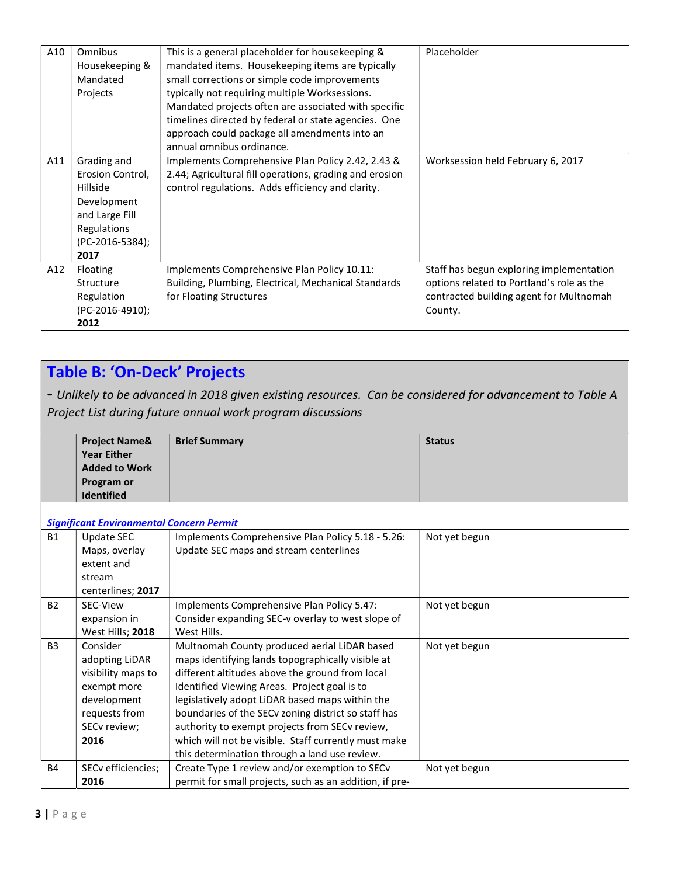| A10 | Omnibus<br>Housekeeping &<br>Mandated<br>Projects                                                                      | This is a general placeholder for housekeeping &<br>mandated items. Housekeeping items are typically<br>small corrections or simple code improvements<br>typically not requiring multiple Worksessions.<br>Mandated projects often are associated with specific<br>timelines directed by federal or state agencies. One<br>approach could package all amendments into an<br>annual omnibus ordinance. | Placeholder                                                                                                                                 |
|-----|------------------------------------------------------------------------------------------------------------------------|-------------------------------------------------------------------------------------------------------------------------------------------------------------------------------------------------------------------------------------------------------------------------------------------------------------------------------------------------------------------------------------------------------|---------------------------------------------------------------------------------------------------------------------------------------------|
| A11 | Grading and<br>Erosion Control,<br>Hillside<br>Development<br>and Large Fill<br>Regulations<br>(PC-2016-5384);<br>2017 | Implements Comprehensive Plan Policy 2.42, 2.43 &<br>2.44; Agricultural fill operations, grading and erosion<br>control regulations. Adds efficiency and clarity.                                                                                                                                                                                                                                     | Worksession held February 6, 2017                                                                                                           |
| A12 | Floating<br>Structure<br>Regulation<br>(PC-2016-4910);<br>2012                                                         | Implements Comprehensive Plan Policy 10.11:<br>Building, Plumbing, Electrical, Mechanical Standards<br>for Floating Structures                                                                                                                                                                                                                                                                        | Staff has begun exploring implementation<br>options related to Portland's role as the<br>contracted building agent for Multnomah<br>County. |

# Table B: 'On-Deck' Projects

- Unlikely to be advanced in 2018 given existing resources. Can be considered for advancement to Table A Project List during future annual work program discussions

|    | <b>Project Name&amp;</b>                 | <b>Brief Summary</b>                              | <b>Status</b> |
|----|------------------------------------------|---------------------------------------------------|---------------|
|    | <b>Year Either</b>                       |                                                   |               |
|    | <b>Added to Work</b>                     |                                                   |               |
|    | Program or                               |                                                   |               |
|    | <b>Identified</b>                        |                                                   |               |
|    |                                          |                                                   |               |
|    | Significant Environmental Concern Permit |                                                   |               |
| В1 | Update SEC                               | Implements Comprehensive Plan Policy 5.18 - 5.26: | Not yet begun |
|    | Maps, overlay                            | Update SEC maps and stream centerlines            |               |
|    | extent and                               |                                                   |               |
|    | stream                                   |                                                   |               |
|    | centerlines; 2017                        |                                                   |               |
| B2 | SEC-View                                 | Implements Comprehensive Plan Policy 5.47:        | Not yet begun |
|    | expansion in                             | Consider expanding SEC-v overlay to west slope of |               |
|    | West Hills; 2018                         | West Hills.                                       |               |

|                | <b>UADUILJIUII III</b> | CONSIGLE CADGHQING JEC V OVCHOV TO WEST SIODE OF          |               |
|----------------|------------------------|-----------------------------------------------------------|---------------|
|                | West Hills; 2018       | West Hills.                                               |               |
| B <sub>3</sub> | Consider               | Multnomah County produced aerial LiDAR based              | Not yet begun |
|                | adopting LiDAR         | maps identifying lands topographically visible at         |               |
|                | visibility maps to     | different altitudes above the ground from local           |               |
|                | exempt more            | Identified Viewing Areas. Project goal is to              |               |
|                | development            | legislatively adopt LiDAR based maps within the           |               |
|                | requests from          | boundaries of the SECv zoning district so staff has       |               |
|                | SECv review;           | authority to exempt projects from SECv review,            |               |
|                | 2016                   | which will not be visible. Staff currently must make      |               |
|                |                        | this determination through a land use review.             |               |
| <b>B4</b>      | SECv efficiencies;     | Create Type 1 review and/or exemption to SEC <sub>v</sub> | Not yet begun |
|                | 2016                   | permit for small projects, such as an addition, if pre-   |               |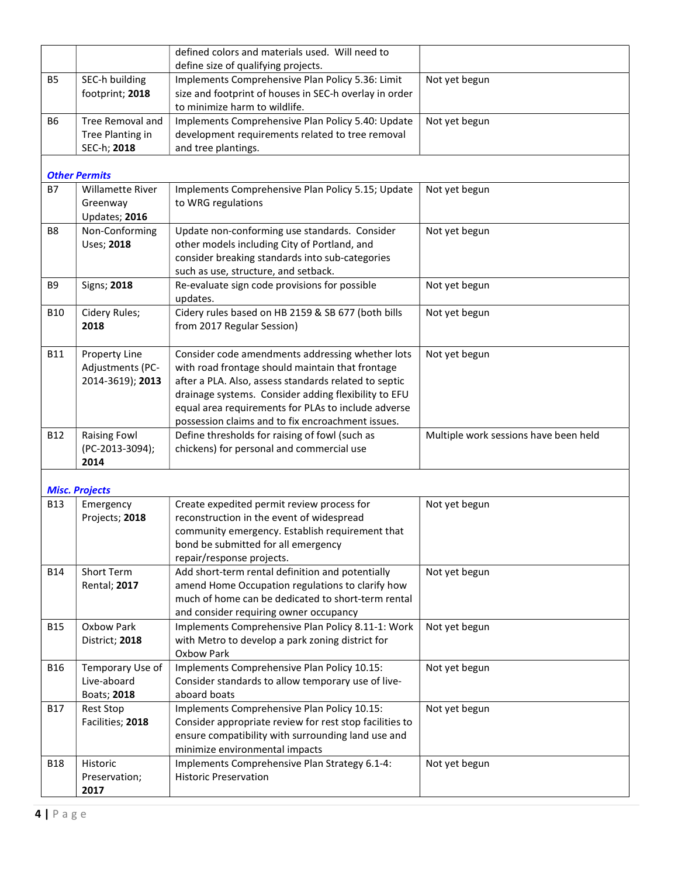|                |                                                            | defined colors and materials used. Will need to<br>define size of qualifying projects.                                                                                                                                                                                                                                            |                                       |
|----------------|------------------------------------------------------------|-----------------------------------------------------------------------------------------------------------------------------------------------------------------------------------------------------------------------------------------------------------------------------------------------------------------------------------|---------------------------------------|
| <b>B5</b>      | SEC-h building<br>footprint; 2018                          | Implements Comprehensive Plan Policy 5.36: Limit<br>size and footprint of houses in SEC-h overlay in order<br>to minimize harm to wildlife.                                                                                                                                                                                       | Not yet begun                         |
| <b>B6</b>      | <b>Tree Removal and</b><br>Tree Planting in<br>SEC-h; 2018 | Implements Comprehensive Plan Policy 5.40: Update<br>development requirements related to tree removal<br>and tree plantings.                                                                                                                                                                                                      | Not yet begun                         |
|                | <b>Other Permits</b>                                       |                                                                                                                                                                                                                                                                                                                                   |                                       |
| <b>B7</b>      | <b>Willamette River</b><br>Greenway<br>Updates; 2016       | Implements Comprehensive Plan Policy 5.15; Update<br>to WRG regulations                                                                                                                                                                                                                                                           | Not yet begun                         |
| B <sub>8</sub> | Non-Conforming<br>Uses; 2018                               | Update non-conforming use standards. Consider<br>other models including City of Portland, and<br>consider breaking standards into sub-categories<br>such as use, structure, and setback.                                                                                                                                          | Not yet begun                         |
| B9             | Signs; 2018                                                | Re-evaluate sign code provisions for possible<br>updates.                                                                                                                                                                                                                                                                         | Not yet begun                         |
| <b>B10</b>     | Cidery Rules;<br>2018                                      | Cidery rules based on HB 2159 & SB 677 (both bills<br>from 2017 Regular Session)                                                                                                                                                                                                                                                  | Not yet begun                         |
| <b>B11</b>     | Property Line<br>Adjustments (PC-<br>2014-3619); 2013      | Consider code amendments addressing whether lots<br>with road frontage should maintain that frontage<br>after a PLA. Also, assess standards related to septic<br>drainage systems. Consider adding flexibility to EFU<br>equal area requirements for PLAs to include adverse<br>possession claims and to fix encroachment issues. | Not yet begun                         |
| <b>B12</b>     | <b>Raising Fowl</b><br>(PC-2013-3094);<br>2014             | Define thresholds for raising of fowl (such as<br>chickens) for personal and commercial use                                                                                                                                                                                                                                       | Multiple work sessions have been held |
|                | <b>Misc. Projects</b>                                      |                                                                                                                                                                                                                                                                                                                                   |                                       |
| <b>B13</b>     | Emergency<br>Projects; 2018                                | Create expedited permit review process for<br>reconstruction in the event of widespread<br>community emergency. Establish requirement that<br>bond be submitted for all emergency<br>repair/response projects.                                                                                                                    | Not yet begun                         |
| <b>B14</b>     | Short Term<br><b>Rental</b> ; 2017                         | Add short-term rental definition and potentially<br>amend Home Occupation regulations to clarify how<br>much of home can be dedicated to short-term rental<br>and consider requiring owner occupancy                                                                                                                              | Not yet begun                         |
| <b>B15</b>     | Oxbow Park<br>District; 2018                               | Implements Comprehensive Plan Policy 8.11-1: Work<br>with Metro to develop a park zoning district for<br><b>Oxbow Park</b>                                                                                                                                                                                                        | Not yet begun                         |
| <b>B16</b>     | Temporary Use of<br>Live-aboard<br>Boats; 2018             | Implements Comprehensive Plan Policy 10.15:<br>Consider standards to allow temporary use of live-<br>aboard boats                                                                                                                                                                                                                 | Not yet begun                         |
| <b>B17</b>     | <b>Rest Stop</b><br>Facilities; 2018                       | Implements Comprehensive Plan Policy 10.15:<br>Consider appropriate review for rest stop facilities to<br>ensure compatibility with surrounding land use and<br>minimize environmental impacts                                                                                                                                    | Not yet begun                         |
| <b>B18</b>     | Historic<br>Preservation;<br>2017                          | Implements Comprehensive Plan Strategy 6.1-4:<br><b>Historic Preservation</b>                                                                                                                                                                                                                                                     | Not yet begun                         |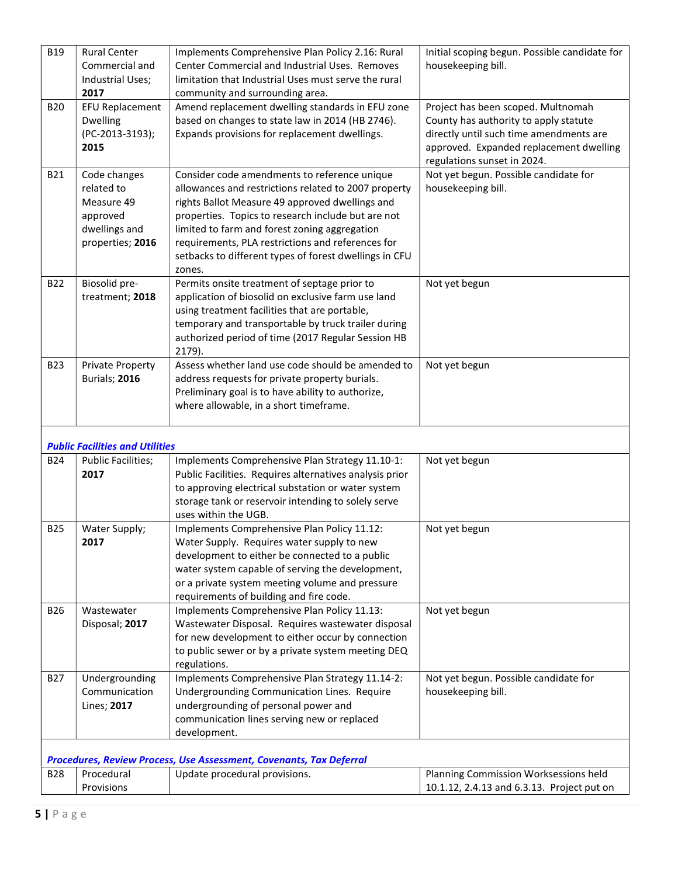| <b>B19</b> | <b>Rural Center</b><br>Commercial and<br>Industrial Uses;<br>2017                         | Implements Comprehensive Plan Policy 2.16: Rural<br>Center Commercial and Industrial Uses. Removes<br>limitation that Industrial Uses must serve the rural<br>community and surrounding area.                                                                                                                                                                                           | Initial scoping begun. Possible candidate for<br>housekeeping bill.                                                                                                                              |
|------------|-------------------------------------------------------------------------------------------|-----------------------------------------------------------------------------------------------------------------------------------------------------------------------------------------------------------------------------------------------------------------------------------------------------------------------------------------------------------------------------------------|--------------------------------------------------------------------------------------------------------------------------------------------------------------------------------------------------|
| <b>B20</b> | <b>EFU Replacement</b><br><b>Dwelling</b><br>(PC-2013-3193);<br>2015                      | Amend replacement dwelling standards in EFU zone<br>based on changes to state law in 2014 (HB 2746).<br>Expands provisions for replacement dwellings.                                                                                                                                                                                                                                   | Project has been scoped. Multnomah<br>County has authority to apply statute<br>directly until such time amendments are<br>approved. Expanded replacement dwelling<br>regulations sunset in 2024. |
| B21        | Code changes<br>related to<br>Measure 49<br>approved<br>dwellings and<br>properties; 2016 | Consider code amendments to reference unique<br>allowances and restrictions related to 2007 property<br>rights Ballot Measure 49 approved dwellings and<br>properties. Topics to research include but are not<br>limited to farm and forest zoning aggregation<br>requirements, PLA restrictions and references for<br>setbacks to different types of forest dwellings in CFU<br>zones. | Not yet begun. Possible candidate for<br>housekeeping bill.                                                                                                                                      |
| B22        | Biosolid pre-<br>treatment; 2018                                                          | Permits onsite treatment of septage prior to<br>application of biosolid on exclusive farm use land<br>using treatment facilities that are portable,<br>temporary and transportable by truck trailer during<br>authorized period of time (2017 Regular Session HB<br>2179).                                                                                                              | Not yet begun                                                                                                                                                                                    |
| <b>B23</b> | <b>Private Property</b><br>Burials; 2016                                                  | Assess whether land use code should be amended to<br>address requests for private property burials.<br>Preliminary goal is to have ability to authorize,<br>where allowable, in a short timeframe.                                                                                                                                                                                      | Not yet begun                                                                                                                                                                                    |
|            | <b>Public Facilities and Utilities</b>                                                    |                                                                                                                                                                                                                                                                                                                                                                                         |                                                                                                                                                                                                  |
| <b>B24</b> | <b>Public Facilities;</b><br>2017                                                         | Implements Comprehensive Plan Strategy 11.10-1:<br>Public Facilities. Requires alternatives analysis prior<br>to approving electrical substation or water system<br>storage tank or reservoir intending to solely serve<br>uses within the UGB.                                                                                                                                         | Not yet begun                                                                                                                                                                                    |
| <b>B25</b> | Water Supply;<br>2017                                                                     | Implements Comprehensive Plan Policy 11.12:<br>Water Supply. Requires water supply to new<br>development to either be connected to a public<br>water system capable of serving the development,<br>or a private system meeting volume and pressure<br>requirements of building and fire code.                                                                                           | Not yet begun                                                                                                                                                                                    |
| <b>B26</b> | Wastewater<br>Disposal; 2017                                                              | Implements Comprehensive Plan Policy 11.13:<br>Wastewater Disposal. Requires wastewater disposal<br>for new development to either occur by connection<br>to public sewer or by a private system meeting DEQ<br>regulations.                                                                                                                                                             | Not yet begun                                                                                                                                                                                    |
| <b>B27</b> | Undergrounding<br>Communication<br>Lines; 2017                                            | Implements Comprehensive Plan Strategy 11.14-2:<br>Undergrounding Communication Lines. Require<br>undergrounding of personal power and<br>communication lines serving new or replaced<br>development.                                                                                                                                                                                   | Not yet begun. Possible candidate for<br>housekeeping bill.                                                                                                                                      |
|            |                                                                                           | Procedures, Review Process, Use Assessment, Covenants, Tax Deferral                                                                                                                                                                                                                                                                                                                     |                                                                                                                                                                                                  |
| <b>B28</b> | Procedural<br>Provisions                                                                  | Update procedural provisions.                                                                                                                                                                                                                                                                                                                                                           | Planning Commission Worksessions held<br>10.1.12, 2.4.13 and 6.3.13. Project put on                                                                                                              |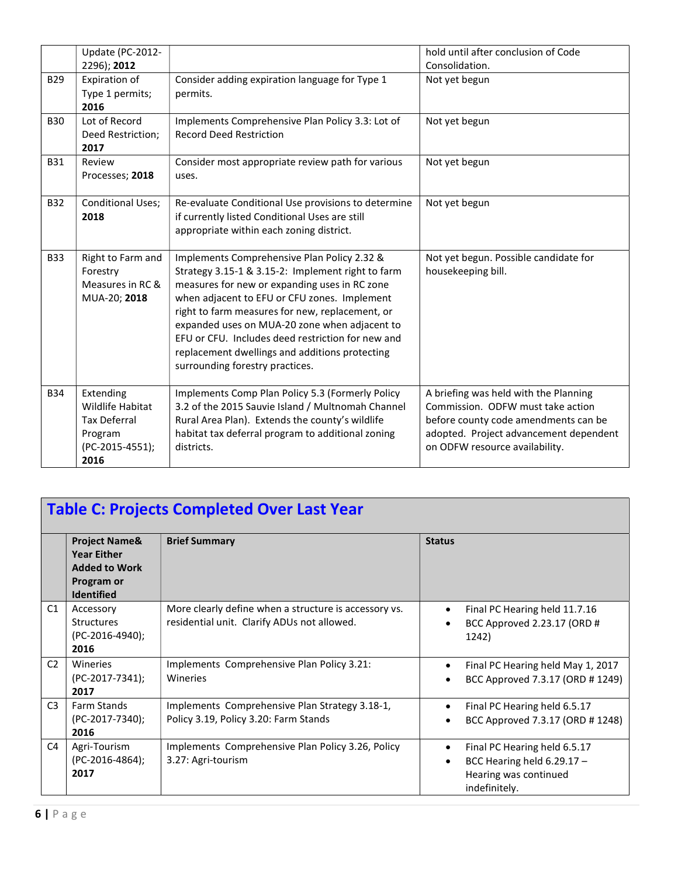| <b>B29</b> | Update (PC-2012-<br>2296); 2012<br>Expiration of<br>Type 1 permits;<br>2016                | Consider adding expiration language for Type 1<br>permits.                                                                                                                                                                                                                                                                                                                                                                                      | hold until after conclusion of Code<br>Consolidation.<br>Not yet begun                                                                                                                         |
|------------|--------------------------------------------------------------------------------------------|-------------------------------------------------------------------------------------------------------------------------------------------------------------------------------------------------------------------------------------------------------------------------------------------------------------------------------------------------------------------------------------------------------------------------------------------------|------------------------------------------------------------------------------------------------------------------------------------------------------------------------------------------------|
| <b>B30</b> | Lot of Record<br>Deed Restriction;<br>2017                                                 | Implements Comprehensive Plan Policy 3.3: Lot of<br><b>Record Deed Restriction</b>                                                                                                                                                                                                                                                                                                                                                              | Not yet begun                                                                                                                                                                                  |
| <b>B31</b> | Review<br>Processes; 2018                                                                  | Consider most appropriate review path for various<br>uses.                                                                                                                                                                                                                                                                                                                                                                                      | Not yet begun                                                                                                                                                                                  |
| <b>B32</b> | <b>Conditional Uses;</b><br>2018                                                           | Re-evaluate Conditional Use provisions to determine<br>if currently listed Conditional Uses are still<br>appropriate within each zoning district.                                                                                                                                                                                                                                                                                               | Not yet begun                                                                                                                                                                                  |
| <b>B33</b> | Right to Farm and<br>Forestry<br>Measures in RC &<br>MUA-20; 2018                          | Implements Comprehensive Plan Policy 2.32 &<br>Strategy 3.15-1 & 3.15-2: Implement right to farm<br>measures for new or expanding uses in RC zone<br>when adjacent to EFU or CFU zones. Implement<br>right to farm measures for new, replacement, or<br>expanded uses on MUA-20 zone when adjacent to<br>EFU or CFU. Includes deed restriction for new and<br>replacement dwellings and additions protecting<br>surrounding forestry practices. | Not yet begun. Possible candidate for<br>housekeeping bill.                                                                                                                                    |
| <b>B34</b> | Extending<br>Wildlife Habitat<br><b>Tax Deferral</b><br>Program<br>(PC-2015-4551);<br>2016 | Implements Comp Plan Policy 5.3 (Formerly Policy<br>3.2 of the 2015 Sauvie Island / Multnomah Channel<br>Rural Area Plan). Extends the county's wildlife<br>habitat tax deferral program to additional zoning<br>districts.                                                                                                                                                                                                                     | A briefing was held with the Planning<br>Commission. ODFW must take action<br>before county code amendments can be<br>adopted. Project advancement dependent<br>on ODFW resource availability. |

| Table C: Projects Completed Over Last Year |  |
|--------------------------------------------|--|
|                                            |  |

|                | <b>Project Name&amp;</b> | <b>Brief Summary</b>                                  | <b>Status</b>                     |
|----------------|--------------------------|-------------------------------------------------------|-----------------------------------|
|                | <b>Year Either</b>       |                                                       |                                   |
|                | <b>Added to Work</b>     |                                                       |                                   |
|                | Program or               |                                                       |                                   |
|                | <b>Identified</b>        |                                                       |                                   |
| C1             | Accessory                | More clearly define when a structure is accessory vs. | Final PC Hearing held 11.7.16     |
|                | <b>Structures</b>        | residential unit. Clarify ADUs not allowed.           | BCC Approved 2.23.17 (ORD #       |
|                | (PC-2016-4940);          |                                                       | 1242)                             |
|                | 2016                     |                                                       |                                   |
| C <sub>2</sub> | Wineries                 | Implements Comprehensive Plan Policy 3.21:            | Final PC Hearing held May 1, 2017 |
|                | (PC-2017-7341);          | Wineries                                              | BCC Approved 7.3.17 (ORD # 1249)  |
|                | 2017                     |                                                       |                                   |
| C <sub>3</sub> | <b>Farm Stands</b>       | Implements Comprehensive Plan Strategy 3.18-1,        | Final PC Hearing held 6.5.17      |
|                | (PC-2017-7340);          | Policy 3.19, Policy 3.20: Farm Stands                 | BCC Approved 7.3.17 (ORD # 1248)  |
|                | 2016                     |                                                       |                                   |
| C4             | Agri-Tourism             | Implements Comprehensive Plan Policy 3.26, Policy     | Final PC Hearing held 6.5.17      |
|                | (PC-2016-4864);          | 3.27: Agri-tourism                                    | BCC Hearing held $6.29.17 -$      |
|                | 2017                     |                                                       | Hearing was continued             |
|                |                          |                                                       | indefinitely.                     |